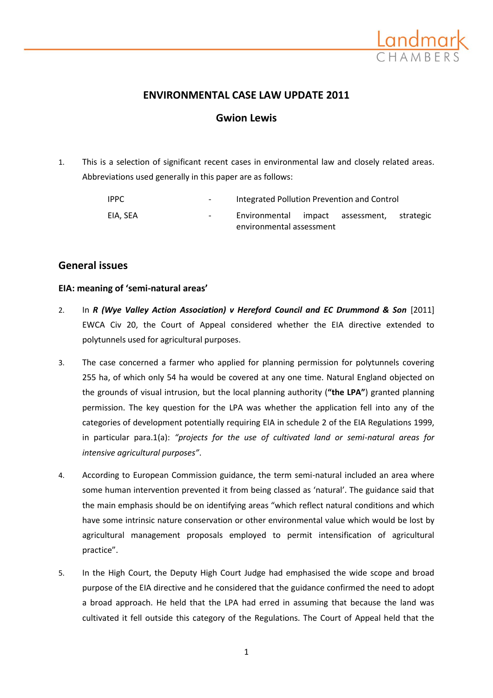

# **ENVIRONMENTAL CASE LAW UPDATE 2011**

## **Gwion Lewis**

1. This is a selection of significant recent cases in environmental law and closely related areas. Abbreviations used generally in this paper are as follows:

| <b>IPPC</b> | $\overline{\phantom{a}}$ | Integrated Pollution Prevention and Control |  |  |  |
|-------------|--------------------------|---------------------------------------------|--|--|--|
| EIA. SEA    | $\sim$                   | Environmental impact assessment, strategic  |  |  |  |
|             |                          | environmental assessment                    |  |  |  |

## **General issues**

### **EIA: meaning of 'semi-natural areas'**

- 2. In *R (Wye Valley Action Association) v Hereford Council and EC Drummond & Son* [2011] EWCA Civ 20, the Court of Appeal considered whether the EIA directive extended to polytunnels used for agricultural purposes.
- 3. The case concerned a farmer who applied for planning permission for polytunnels covering 255 ha, of which only 54 ha would be covered at any one time. Natural England objected on the grounds of visual intrusion, but the local planning authority (**"the LPA"**) granted planning permission. The key question for the LPA was whether the application fell into any of the categories of development potentially requiring EIA in schedule 2 of the EIA Regulations 1999, in particular para.1(a): *"projects for the use of cultivated land or semi-natural areas for intensive agricultural purposes"*.
- 4. According to European Commission guidance, the term semi-natural included an area where some human intervention prevented it from being classed as 'natural'. The guidance said that the main emphasis should be on identifying areas "which reflect natural conditions and which have some intrinsic nature conservation or other environmental value which would be lost by agricultural management proposals employed to permit intensification of agricultural practice".
- 5. In the High Court, the Deputy High Court Judge had emphasised the wide scope and broad purpose of the EIA directive and he considered that the guidance confirmed the need to adopt a broad approach. He held that the LPA had erred in assuming that because the land was cultivated it fell outside this category of the Regulations. The Court of Appeal held that the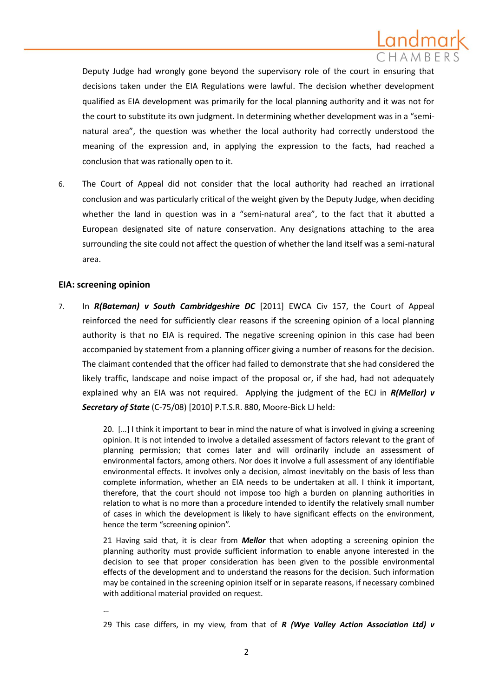

Deputy Judge had wrongly gone beyond the supervisory role of the court in ensuring that decisions taken under the EIA Regulations were lawful. The decision whether development qualified as EIA development was primarily for the local planning authority and it was not for the court to substitute its own judgment. In determining whether development was in a "seminatural area", the question was whether the local authority had correctly understood the meaning of the expression and, in applying the expression to the facts, had reached a conclusion that was rationally open to it.

6. The Court of Appeal did not consider that the local authority had reached an irrational conclusion and was particularly critical of the weight given by the Deputy Judge, when deciding whether the land in question was in a "semi-natural area", to the fact that it abutted a European designated site of nature conservation. Any designations attaching to the area surrounding the site could not affect the question of whether the land itself was a semi-natural area.

#### **EIA: screening opinion**

7. In *R(Bateman) v South Cambridgeshire DC* [2011] EWCA Civ 157, the Court of Appeal reinforced the need for sufficiently clear reasons if the screening opinion of a local planning authority is that no EIA is required. The negative screening opinion in this case had been accompanied by statement from a planning officer giving a number of reasons for the decision. The claimant contended that the officer had failed to demonstrate that she had considered the likely traffic, landscape and noise impact of the proposal or, if she had, had not adequately explained why an EIA was not required. Applying the judgment of the ECJ in *R(Mellor) v Secretary of State* (C-75/08) [2010] P.T.S.R. 880, Moore-Bick LJ held:

> 20. [...] I think it important to bear in mind the nature of what is involved in giving a screening opinion. It is not intended to involve a detailed assessment of factors relevant to the grant of planning permission; that comes later and will ordinarily include an assessment of environmental factors, among others. Nor does it involve a full assessment of any identifiable environmental effects. It involves only a decision, almost inevitably on the basis of less than complete information, whether an EIA needs to be undertaken at all. I think it important, therefore, that the court should not impose too high a burden on planning authorities in relation to what is no more than a procedure intended to identify the relatively small number of cases in which the development is likely to have significant effects on the environment, hence the term "screening opinion".

> 21 Having said that, it is clear from *Mellor* that when adopting a screening opinion the planning authority must provide sufficient information to enable anyone interested in the decision to see that proper consideration has been given to the possible environmental effects of the development and to understand the reasons for the decision. Such information may be contained in the screening opinion itself or in separate reasons, if necessary combined with additional material provided on request.

…

29 This case differs, in my view, from that of *R (Wye Valley Action Association Ltd) v*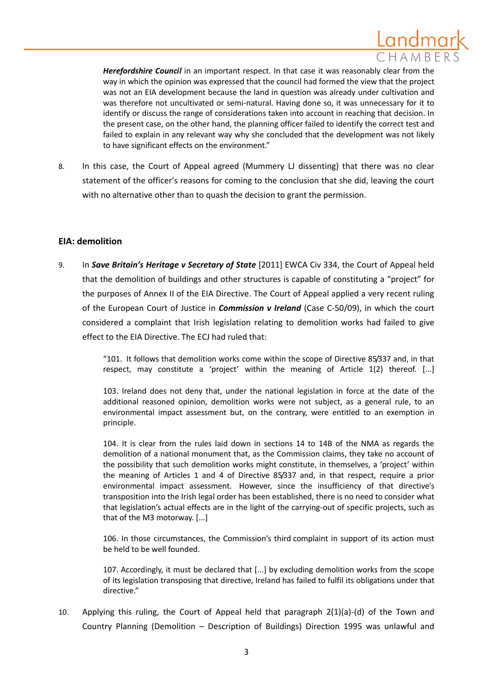

*Herefordshire Council* in an important respect. In that case it was reasonably clear from the way in which the opinion was expressed that the council had formed the view that the project was not an EIA development because the land in question was already under cultivation and was therefore not uncultivated or semi-natural. Having done so, it was unnecessary for it to identify or discuss the range of considerations taken into account in reaching that decision. In the present case, on the other hand, the planning officer failed to identify the correct test and failed to explain in any relevant way why she concluded that the development was not likely to have significant effects on the environment."

8. In this case, the Court of Appeal agreed (Mummery LJ dissenting) that there was no clear statement of the officer's reasons for coming to the conclusion that she did, leaving the court with no alternative other than to quash the decision to grant the permission.

### **EIA: demolition**

9. In *Save Britain's Heritage v Secretary of State* [2011] EWCA Civ 334, the Court of Appeal held that the demolition of buildings and other structures is capable of constituting a "project" for the purposes of Annex II of the EIA Directive. The Court of Appeal applied a very recent ruling of the European Court of Justice in *Commission v Ireland* (Case C-50/09), in which the court considered a complaint that Irish legislation relating to demolition works had failed to give effect to the EIA Directive. The ECJ had ruled that:

> "101. It follows that demolition works come within the scope of Directive 85/337 and, in that respect, may constitute a 'project' within the meaning of Article 1(2) thereof. [...]

> 103. Ireland does not deny that, under the national legislation in force at the date of the additional reasoned opinion, demolition works were not subject, as a general rule, to an environmental impact assessment but, on the contrary, were entitled to an exemption in principle.

> 104. It is clear from the rules laid down in sections 14 to 14B of the NMA as regards the demolition of a national monument that, as the Commission claims, they take no account of the possibility that such demolition works might constitute, in themselves, a 'project' within the meaning of Articles 1 and 4 of Directive 85/337 and, in that respect, require a prior environmental impact assessment. However, since the insufficiency of that directive's transposition into the Irish legal order has been established, there is no need to consider what that legislation's actual effects are in the light of the carrying-out of specific projects, such as that of the M3 motorway. [...]

> 106. In those circumstances, the Commission's third complaint in support of its action must be held to be well founded.

> 107. Accordingly, it must be declared that [...] by excluding demolition works from the scope of its legislation transposing that directive, Ireland has failed to fulfil its obligations under that directive."

10. Applying this ruling, the Court of Appeal held that paragraph 2(1)(a)-(d) of the Town and Country Planning (Demolition – Description of Buildings) Direction 1995 was unlawful and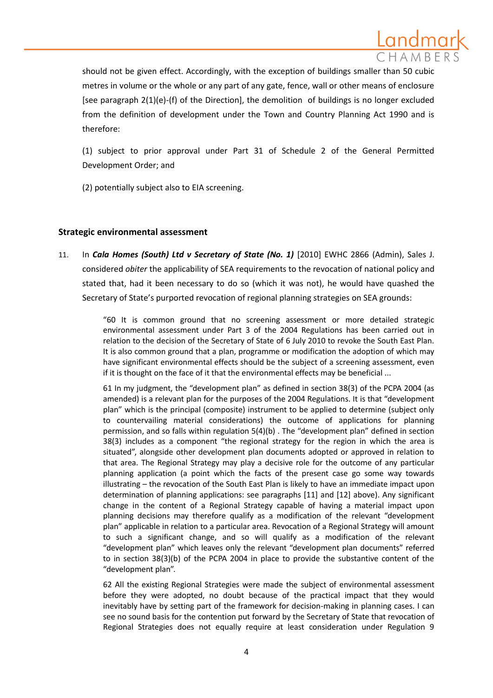

should not be given effect. Accordingly, with the exception of buildings smaller than 50 cubic metres in volume or the whole or any part of any gate, fence, wall or other means of enclosure [see paragraph 2(1)(e)-(f) of the Direction], the demolition of buildings is no longer excluded from the definition of development under the Town and Country Planning Act 1990 and is therefore:

(1) subject to prior approval under Part 31 of Schedule 2 of the General Permitted Development Order; and

(2) potentially subject also to EIA screening.

### **Strategic environmental assessment**

11. In *Cala Homes (South) Ltd v Secretary of State (No. 1)* [2010] EWHC 2866 (Admin), Sales J. considered *obiter* the applicability of SEA requirements to the revocation of national policy and stated that, had it been necessary to do so (which it was not), he would have quashed the Secretary of State's purported revocation of regional planning strategies on SEA grounds:

> "60 It is common ground that no screening assessment or more detailed strategic environmental assessment under Part 3 of the 2004 Regulations has been carried out in relation to the decision of the Secretary of State of 6 July 2010 to revoke the South East Plan. It is also common ground that a plan, programme or modification the adoption of which may have significant environmental effects should be the subject of a screening assessment, even if it is thought on the face of it that the environmental effects may be beneficial ...

> 61 In my judgment, the "development plan" as defined in section 38(3) of the PCPA 2004 (as amended) is a relevant plan for the purposes of the 2004 Regulations. It is that "development plan" which is the principal (composite) instrument to be applied to determine (subject only to countervailing material considerations) the outcome of applications for planning permission, and so falls within regulation 5(4)(b) . The "development plan" defined in section 38(3) includes as a component "the regional strategy for the region in which the area is situated", alongside other development plan documents adopted or approved in relation to that area. The Regional Strategy may play a decisive role for the outcome of any particular planning application (a point which the facts of the present case go some way towards illustrating – the revocation of the South East Plan is likely to have an immediate impact upon determination of planning applications: see paragraphs [11] and [12] above). Any significant change in the content of a Regional Strategy capable of having a material impact upon planning decisions may therefore qualify as a modification of the relevant "development plan" applicable in relation to a particular area. Revocation of a Regional Strategy will amount to such a significant change, and so will qualify as a modification of the relevant "development plan" which leaves only the relevant "development plan documents" referred to in section 38(3)(b) of the PCPA 2004 in place to provide the substantive content of the "development plan".

> 62 All the existing Regional Strategies were made the subject of environmental assessment before they were adopted, no doubt because of the practical impact that they would inevitably have by setting part of the framework for decision-making in planning cases. I can see no sound basis for the contention put forward by the Secretary of State that revocation of Regional Strategies does not equally require at least consideration under Regulation 9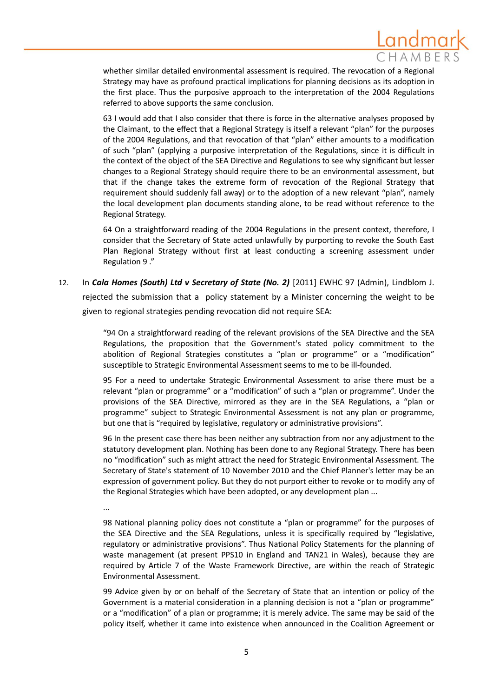

whether similar detailed environmental assessment is required. The revocation of a Regional Strategy may have as profound practical implications for planning decisions as its adoption in the first place. Thus the purposive approach to the interpretation of the 2004 Regulations referred to above supports the same conclusion.

63 I would add that I also consider that there is force in the alternative analyses proposed by the Claimant, to the effect that a Regional Strategy is itself a relevant "plan" for the purposes of the 2004 Regulations, and that revocation of that "plan" either amounts to a modification of such "plan" (applying a purposive interpretation of the Regulations, since it is difficult in the context of the object of the SEA Directive and Regulations to see why significant but lesser changes to a Regional Strategy should require there to be an environmental assessment, but that if the change takes the extreme form of revocation of the Regional Strategy that requirement should suddenly fall away) or to the adoption of a new relevant "plan", namely the local development plan documents standing alone, to be read without reference to the Regional Strategy.

64 On a straightforward reading of the 2004 Regulations in the present context, therefore, I consider that the Secretary of State acted unlawfully by purporting to revoke the South East Plan Regional Strategy without first at least conducting a screening assessment under Regulation 9 ."

12. In *Cala Homes (South) Ltd v Secretary of State (No. 2)* [2011] EWHC 97 (Admin), Lindblom J. rejected the submission that a policy statement by a Minister concerning the weight to be given to regional strategies pending revocation did not require SEA:

> "94 On a straightforward reading of the relevant provisions of the SEA Directive and the SEA Regulations, the proposition that the Government's stated policy commitment to the abolition of Regional Strategies constitutes a "plan or programme" or a "modification" susceptible to Strategic Environmental Assessment seems to me to be ill-founded.

> 95 For a need to undertake Strategic Environmental Assessment to arise there must be a relevant "plan or programme" or a "modification" of such a "plan or programme". Under the provisions of the SEA Directive, mirrored as they are in the SEA Regulations, a "plan or programme" subject to Strategic Environmental Assessment is not any plan or programme, but one that is "required by legislative, regulatory or administrative provisions".

> 96 In the present case there has been neither any subtraction from nor any adjustment to the statutory development plan. Nothing has been done to any Regional Strategy. There has been no "modification" such as might attract the need for Strategic Environmental Assessment. The Secretary of State's statement of 10 November 2010 and the Chief Planner's letter may be an expression of government policy. But they do not purport either to revoke or to modify any of the Regional Strategies which have been adopted, or any development plan ...

...

98 National planning policy does not constitute a "plan or programme" for the purposes of the SEA Directive and the SEA Regulations, unless it is specifically required by "legislative, regulatory or administrative provisions". Thus National Policy Statements for the planning of waste management (at present PPS10 in England and TAN21 in Wales), because they are required by Article 7 of the Waste Framework Directive, are within the reach of Strategic Environmental Assessment.

99 Advice given by or on behalf of the Secretary of State that an intention or policy of the Government is a material consideration in a planning decision is not a "plan or programme" or a "modification" of a plan or programme; it is merely advice. The same may be said of the policy itself, whether it came into existence when announced in the Coalition Agreement or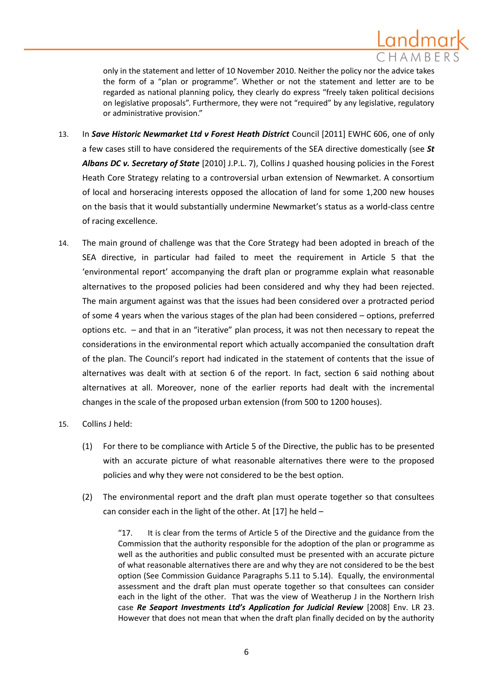

only in the statement and letter of 10 November 2010. Neither the policy nor the advice takes the form of a "plan or programme". Whether or not the statement and letter are to be regarded as national planning policy, they clearly do express "freely taken political decisions on legislative proposals". Furthermore, they were not "required" by any legislative, regulatory or administrative provision."

- 13. In *Save Historic Newmarket Ltd v Forest Heath District* Council [2011] EWHC 606, one of only a few cases still to have considered the requirements of the SEA directive domestically (see *St Albans DC v. Secretary of State* [2010] J.P.L. 7), Collins J quashed housing policies in the Forest Heath Core Strategy relating to a controversial urban extension of Newmarket. A consortium of local and horseracing interests opposed the allocation of land for some 1,200 new houses on the basis that it would substantially undermine Newmarket's status as a world-class centre of racing excellence.
- 14. The main ground of challenge was that the Core Strategy had been adopted in breach of the SEA directive, in particular had failed to meet the requirement in Article 5 that the 'environmental report' accompanying the draft plan or programme explain what reasonable alternatives to the proposed policies had been considered and why they had been rejected. The main argument against was that the issues had been considered over a protracted period of some 4 years when the various stages of the plan had been considered – options, preferred options etc. – and that in an "iterative" plan process, it was not then necessary to repeat the considerations in the environmental report which actually accompanied the consultation draft of the plan. The Council's report had indicated in the statement of contents that the issue of alternatives was dealt with at section 6 of the report. In fact, section 6 said nothing about alternatives at all. Moreover, none of the earlier reports had dealt with the incremental changes in the scale of the proposed urban extension (from 500 to 1200 houses).
- 15. Collins J held:
	- (1) For there to be compliance with Article 5 of the Directive, the public has to be presented with an accurate picture of what reasonable alternatives there were to the proposed policies and why they were not considered to be the best option.
	- (2) The environmental report and the draft plan must operate together so that consultees can consider each in the light of the other. At [17] he held –

"17. It is clear from the terms of Article 5 of the Directive and the guidance from the Commission that the authority responsible for the adoption of the plan or programme as well as the authorities and public consulted must be presented with an accurate picture of what reasonable alternatives there are and why they are not considered to be the best option (See Commission Guidance Paragraphs 5.11 to 5.14). Equally, the environmental assessment and the draft plan must operate together so that consultees can consider each in the light of the other. That was the view of Weatherup J in the Northern Irish case *Re Seaport Investments Ltd's Application for Judicial Review* [2008] Env. LR 23. However that does not mean that when the draft plan finally decided on by the authority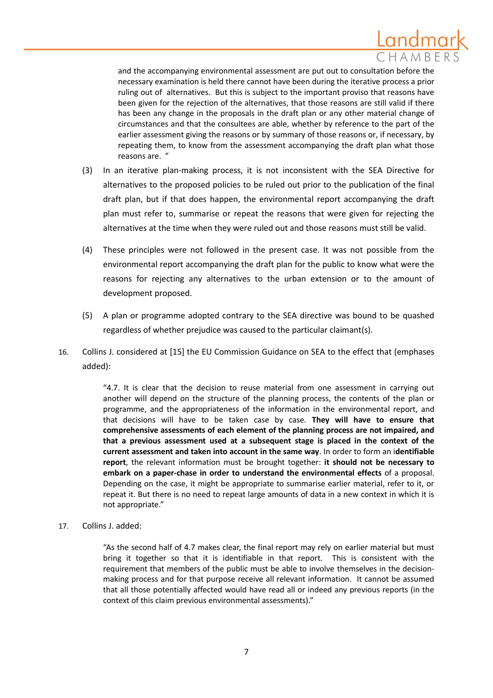

and the accompanying environmental assessment are put out to consultation before the necessary examination is held there cannot have been during the iterative process a prior ruling out of alternatives. But this is subject to the important proviso that reasons have been given for the rejection of the alternatives, that those reasons are still valid if there has been any change in the proposals in the draft plan or any other material change of circumstances and that the consultees are able, whether by reference to the part of the earlier assessment giving the reasons or by summary of those reasons or, if necessary, by repeating them, to know from the assessment accompanying the draft plan what those reasons are. "

- (3) In an iterative plan-making process, it is not inconsistent with the SEA Directive for alternatives to the proposed policies to be ruled out prior to the publication of the final draft plan, but if that does happen, the environmental report accompanying the draft plan must refer to, summarise or repeat the reasons that were given for rejecting the alternatives at the time when they were ruled out and those reasons must still be valid.
- (4) These principles were not followed in the present case. It was not possible from the environmental report accompanying the draft plan for the public to know what were the reasons for rejecting any alternatives to the urban extension or to the amount of development proposed.
- (5) A plan or programme adopted contrary to the SEA directive was bound to be quashed regardless of whether prejudice was caused to the particular claimant(s).
- 16. Collins J. considered at [15] the EU Commission Guidance on SEA to the effect that (emphases added):

"4.7. It is clear that the decision to reuse material from one assessment in carrying out another will depend on the structure of the planning process, the contents of the plan or programme, and the appropriateness of the information in the environmental report, and that decisions will have to be taken case by case. **They will have to ensure that comprehensive assessments of each element of the planning process are not impaired, and that a previous assessment used at a subsequent stage is placed in the context of the current assessment and taken into account in the same way**. In order to form an i**dentifiable report**, the relevant information must be brought together: **it should not be necessary to embark on a paper-chase in order to understand the environmental effects** of a proposal. Depending on the case, it might be appropriate to summarise earlier material, refer to it, or repeat it. But there is no need to repeat large amounts of data in a new context in which it is not appropriate."

17. Collins J. added:

"As the second half of 4.7 makes clear, the final report may rely on earlier material but must bring it together so that it is identifiable in that report. This is consistent with the requirement that members of the public must be able to involve themselves in the decisionmaking process and for that purpose receive all relevant information. It cannot be assumed that all those potentially affected would have read all or indeed any previous reports (in the context of this claim previous environmental assessments)."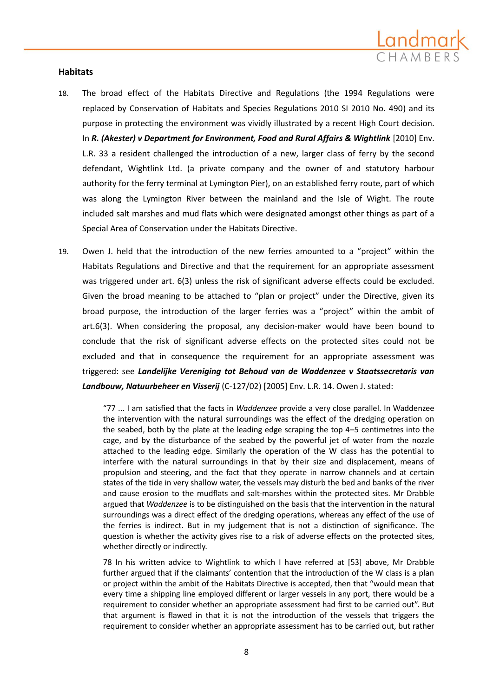

#### **Habitats**

- 18. The broad effect of the Habitats Directive and Regulations (the 1994 Regulations were replaced by Conservation of Habitats and Species Regulations 2010 SI 2010 No. 490) and its purpose in protecting the environment was vividly illustrated by a recent High Court decision. In *R. (Akester) v Department for Environment, Food and Rural Affairs & Wightlink* [2010] Env. L.R. 33 a resident challenged the introduction of a new, larger class of ferry by the second defendant, Wightlink Ltd. (a private company and the owner of and statutory harbour authority for the ferry terminal at Lymington Pier), on an established ferry route, part of which was along the Lymington River between the mainland and the Isle of Wight. The route included salt marshes and mud flats which were designated amongst other things as part of a Special Area of Conservation under the Habitats Directive.
- 19. Owen J. held that the introduction of the new ferries amounted to a "project" within the Habitats Regulations and Directive and that the requirement for an appropriate assessment was triggered under art. 6(3) unless the risk of significant adverse effects could be excluded. Given the broad meaning to be attached to "plan or project" under the Directive, given its broad purpose, the introduction of the larger ferries was a "project" within the ambit of art.6(3). When considering the proposal, any decision-maker would have been bound to conclude that the risk of significant adverse effects on the protected sites could not be excluded and that in consequence the requirement for an appropriate assessment was triggered: see *Landelijke Vereniging tot Behoud van de Waddenzee v Staatssecretaris van Landbouw, Natuurbeheer en Visserij* (C-127/02) [2005] Env. L.R. 14. Owen J. stated:

"77 ... I am satisfied that the facts in *Waddenzee* provide a very close parallel. In Waddenzee the intervention with the natural surroundings was the effect of the dredging operation on the seabed, both by the plate at the leading edge scraping the top 4–5 centimetres into the cage, and by the disturbance of the seabed by the powerful jet of water from the nozzle attached to the leading edge. Similarly the operation of the W class has the potential to interfere with the natural surroundings in that by their size and displacement, means of propulsion and steering, and the fact that they operate in narrow channels and at certain states of the tide in very shallow water, the vessels may disturb the bed and banks of the river and cause erosion to the mudflats and salt-marshes within the protected sites. Mr Drabble argued that *Waddenzee* is to be distinguished on the basis that the intervention in the natural surroundings was a direct effect of the dredging operations, whereas any effect of the use of the ferries is indirect. But in my judgement that is not a distinction of significance. The question is whether the activity gives rise to a risk of adverse effects on the protected sites, whether directly or indirectly.

78 In his written advice to Wightlink to which I have referred at [53] above, Mr Drabble further argued that if the claimants' contention that the introduction of the W class is a plan or project within the ambit of the Habitats Directive is accepted, then that "would mean that every time a shipping line employed different or larger vessels in any port, there would be a requirement to consider whether an appropriate assessment had first to be carried out". But that argument is flawed in that it is not the introduction of the vessels that triggers the requirement to consider whether an appropriate assessment has to be carried out, but rather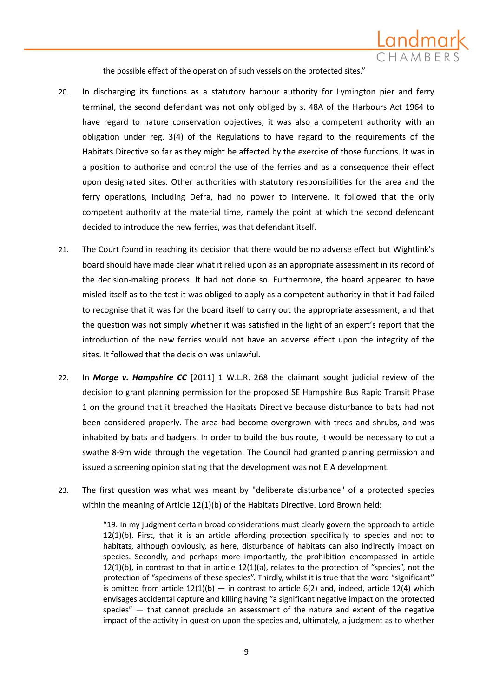

the possible effect of the operation of such vessels on the protected sites."

- 20. In discharging its functions as a statutory harbour authority for Lymington pier and ferry terminal, the second defendant was not only obliged by s. 48A of the Harbours Act 1964 to have regard to nature conservation objectives, it was also a competent authority with an obligation under reg. 3(4) of the Regulations to have regard to the requirements of the Habitats Directive so far as they might be affected by the exercise of those functions. It was in a position to authorise and control the use of the ferries and as a consequence their effect upon designated sites. Other authorities with statutory responsibilities for the area and the ferry operations, including Defra, had no power to intervene. It followed that the only competent authority at the material time, namely the point at which the second defendant decided to introduce the new ferries, was that defendant itself.
- 21. The Court found in reaching its decision that there would be no adverse effect but Wightlink's board should have made clear what it relied upon as an appropriate assessment in its record of the decision-making process. It had not done so. Furthermore, the board appeared to have misled itself as to the test it was obliged to apply as a competent authority in that it had failed to recognise that it was for the board itself to carry out the appropriate assessment, and that the question was not simply whether it was satisfied in the light of an expert's report that the introduction of the new ferries would not have an adverse effect upon the integrity of the sites. It followed that the decision was unlawful.
- 22. In *Morge v. Hampshire CC* [2011] 1 W.L.R. 268 the claimant sought judicial review of the decision to grant planning permission for the proposed SE Hampshire Bus Rapid Transit Phase 1 on the ground that it breached the Habitats Directive because disturbance to bats had not been considered properly. The area had become overgrown with trees and shrubs, and was inhabited by bats and badgers. In order to build the bus route, it would be necessary to cut a swathe 8-9m wide through the vegetation. The Council had granted planning permission and issued a screening opinion stating that the development was not EIA development.
- 23. The first question was what was meant by "deliberate disturbance" of a protected species within the meaning of Article 12(1)(b) of the Habitats Directive. Lord Brown held:

"19. In my judgment certain broad considerations must clearly govern the approach to article  $12(1)(b)$ . First, that it is an article affording protection specifically to species and not to habitats, although obviously, as here, disturbance of habitats can also indirectly impact on species. Secondly, and perhaps more importantly, the prohibition encompassed in article 12(1)(b), in contrast to that in article 12(1)(a), relates to the protection of "species", not the protection of "specimens of these species". Thirdly, whilst it is true that the word "significant" is omitted from article  $12(1)(b) - in$  contrast to article  $6(2)$  and, indeed, article  $12(4)$  which envisages accidental capture and killing having "a significant negative impact on the protected species" — that cannot preclude an assessment of the nature and extent of the negative impact of the activity in question upon the species and, ultimately, a judgment as to whether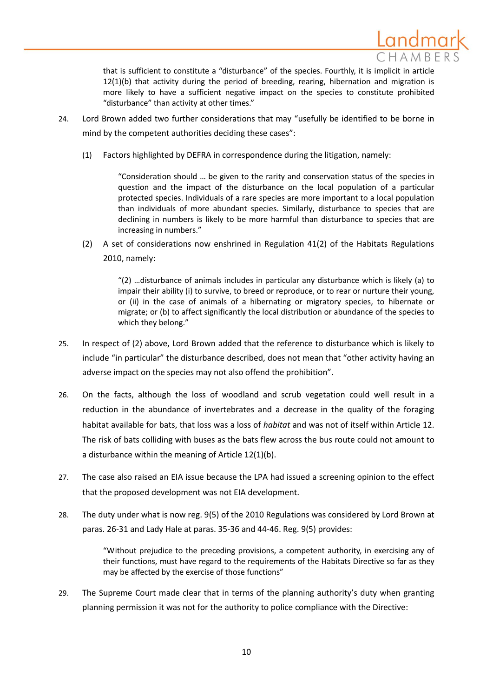

that is sufficient to constitute a "disturbance" of the species. Fourthly, it is implicit in article  $12(1)(b)$  that activity during the period of breeding, rearing, hibernation and migration is more likely to have a sufficient negative impact on the species to constitute prohibited "disturbance" than activity at other times."

- 24. Lord Brown added two further considerations that may "usefully be identified to be borne in mind by the competent authorities deciding these cases":
	- (1) Factors highlighted by DEFRA in correspondence during the litigation, namely:

"Consideration should … be given to the rarity and conservation status of the species in question and the impact of the disturbance on the local population of a particular protected species. Individuals of a rare species are more important to a local population than individuals of more abundant species. Similarly, disturbance to species that are declining in numbers is likely to be more harmful than disturbance to species that are increasing in numbers."

(2) A set of considerations now enshrined in Regulation 41(2) of the Habitats Regulations 2010, namely:

> "(2) …disturbance of animals includes in particular any disturbance which is likely (a) to impair their ability (i) to survive, to breed or reproduce, or to rear or nurture their young, or (ii) in the case of animals of a hibernating or migratory species, to hibernate or migrate; or (b) to affect significantly the local distribution or abundance of the species to which they belong."

- 25. In respect of (2) above, Lord Brown added that the reference to disturbance which is likely to include "in particular" the disturbance described, does not mean that "other activity having an adverse impact on the species may not also offend the prohibition".
- 26. On the facts, although the loss of woodland and scrub vegetation could well result in a reduction in the abundance of invertebrates and a decrease in the quality of the foraging habitat available for bats, that loss was a loss of *habitat* and was not of itself within Article 12. The risk of bats colliding with buses as the bats flew across the bus route could not amount to a disturbance within the meaning of Article 12(1)(b).
- 27. The case also raised an EIA issue because the LPA had issued a screening opinion to the effect that the proposed development was not EIA development.
- 28. The duty under what is now reg. 9(5) of the 2010 Regulations was considered by Lord Brown at paras. 26-31 and Lady Hale at paras. 35-36 and 44-46. Reg. 9(5) provides:

"Without prejudice to the preceding provisions, a competent authority, in exercising any of their functions, must have regard to the requirements of the Habitats Directive so far as they may be affected by the exercise of those functions"

29. The Supreme Court made clear that in terms of the planning authority's duty when granting planning permission it was not for the authority to police compliance with the Directive: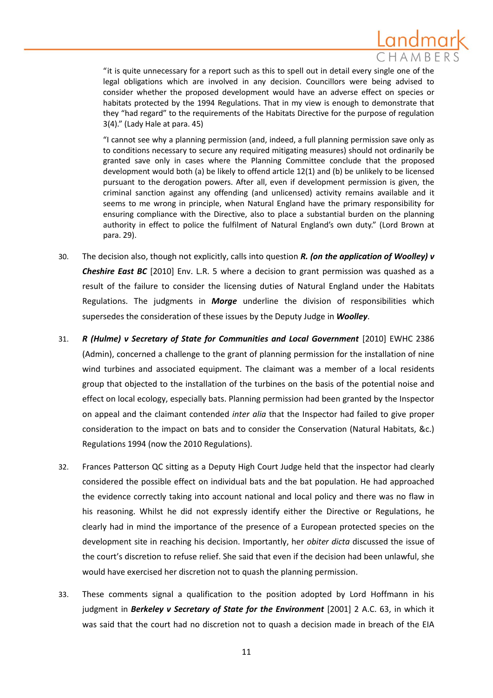

"it is quite unnecessary for a report such as this to spell out in detail every single one of the legal obligations which are involved in any decision. Councillors were being advised to consider whether the proposed development would have an adverse effect on species or habitats protected by the 1994 Regulations. That in my view is enough to demonstrate that they "had regard" to the requirements of the Habitats Directive for the purpose of regulation 3(4)." (Lady Hale at para. 45)

"I cannot see why a planning permission (and, indeed, a full planning permission save only as to conditions necessary to secure any required mitigating measures) should not ordinarily be granted save only in cases where the Planning Committee conclude that the proposed development would both (a) be likely to offend article 12(1) and (b) be unlikely to be licensed pursuant to the derogation powers. After all, even if development permission is given, the criminal sanction against any offending (and unlicensed) activity remains available and it seems to me wrong in principle, when Natural England have the primary responsibility for ensuring compliance with the Directive, also to place a substantial burden on the planning authority in effect to police the fulfilment of Natural England's own duty." (Lord Brown at para. 29).

- 30. The decision also, though not explicitly, calls into question *R. (on the application of Woolley) v Cheshire East BC* [2010] Env. L.R. 5 where a decision to grant permission was quashed as a result of the failure to consider the licensing duties of Natural England under the Habitats Regulations. The judgments in *Morge* underline the division of responsibilities which supersedes the consideration of these issues by the Deputy Judge in *Woolley*.
- 31. *R (Hulme) v Secretary of State for Communities and Local Government* [2010] EWHC 2386 (Admin), concerned a challenge to the grant of planning permission for the installation of nine wind turbines and associated equipment. The claimant was a member of a local residents group that objected to the installation of the turbines on the basis of the potential noise and effect on local ecology, especially bats. Planning permission had been granted by the Inspector on appeal and the claimant contended *inter alia* that the Inspector had failed to give proper consideration to the impact on bats and to consider the Conservation (Natural Habitats, &c.) Regulations 1994 (now the 2010 Regulations).
- 32. Frances Patterson QC sitting as a Deputy High Court Judge held that the inspector had clearly considered the possible effect on individual bats and the bat population. He had approached the evidence correctly taking into account national and local policy and there was no flaw in his reasoning. Whilst he did not expressly identify either the Directive or Regulations, he clearly had in mind the importance of the presence of a European protected species on the development site in reaching his decision. Importantly, her *obiter dicta* discussed the issue of the court's discretion to refuse relief. She said that even if the decision had been unlawful, she would have exercised her discretion not to quash the planning permission.
- 33. These comments signal a qualification to the position adopted by Lord Hoffmann in his judgment in *Berkeley v Secretary of State for the Environment* [2001] 2 A.C. 63, in which it was said that the court had no discretion not to quash a decision made in breach of the EIA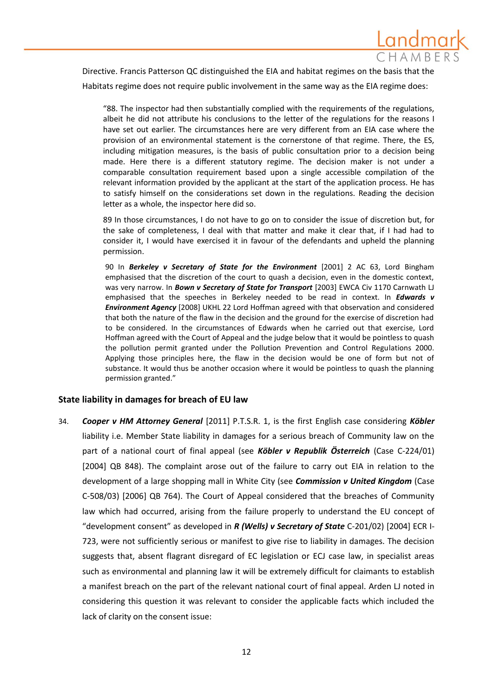

Directive. Francis Patterson QC distinguished the EIA and habitat regimes on the basis that the Habitats regime does not require public involvement in the same way as the EIA regime does:

"88. The inspector had then substantially complied with the requirements of the regulations, albeit he did not attribute his conclusions to the letter of the regulations for the reasons I have set out earlier. The circumstances here are very different from an EIA case where the provision of an environmental statement is the cornerstone of that regime. There, the ES, including mitigation measures, is the basis of public consultation prior to a decision being made. Here there is a different statutory regime. The decision maker is not under a comparable consultation requirement based upon a single accessible compilation of the relevant information provided by the applicant at the start of the application process. He has to satisfy himself on the considerations set down in the regulations. Reading the decision letter as a whole, the inspector here did so.

89 In those circumstances, I do not have to go on to consider the issue of discretion but, for the sake of completeness, I deal with that matter and make it clear that, if I had had to consider it, I would have exercised it in favour of the defendants and upheld the planning permission.

90 In *Berkeley v Secretary of State for the Environment* [2001] 2 AC 63, Lord Bingham emphasised that the discretion of the court to quash a decision, even in the domestic context, was very narrow. In *Bown v Secretary of State for Transport* [2003] EWCA Civ 1170 Carnwath LJ emphasised that the speeches in Berkeley needed to be read in context. In *Edwards v Environment Agency* [2008] UKHL 22 Lord Hoffman agreed with that observation and considered that both the nature of the flaw in the decision and the ground for the exercise of discretion had to be considered. In the circumstances of Edwards when he carried out that exercise, Lord Hoffman agreed with the Court of Appeal and the judge below that it would be pointless to quash the pollution permit granted under the Pollution Prevention and Control Regulations 2000. Applying those principles here, the flaw in the decision would be one of form but not of substance. It would thus be another occasion where it would be pointless to quash the planning permission granted."

### **State liability in damages for breach of EU law**

34. *Cooper v HM Attorney General* [2011] P.T.S.R. 1, is the first English case considering *Köbler* liability i.e. Member State liability in damages for a serious breach of Community law on the part of a national court of final appeal (see *Köbler v Republik Österreich* (Case C-224/01) [2004] QB 848). The complaint arose out of the failure to carry out EIA in relation to the development of a large shopping mall in White City (see *Commission v United Kingdom* (Case C-508/03) [2006] QB 764). The Court of Appeal considered that the breaches of Community law which had occurred, arising from the failure properly to understand the EU concept of "development consent" as developed in *R (Wells) v Secretary of State* C-201/02) [2004] ECR I-723, were not sufficiently serious or manifest to give rise to liability in damages. The decision suggests that, absent flagrant disregard of EC legislation or ECJ case law, in specialist areas such as environmental and planning law it will be extremely difficult for claimants to establish a manifest breach on the part of the relevant national court of final appeal. Arden LJ noted in considering this question it was relevant to consider the applicable facts which included the lack of clarity on the consent issue: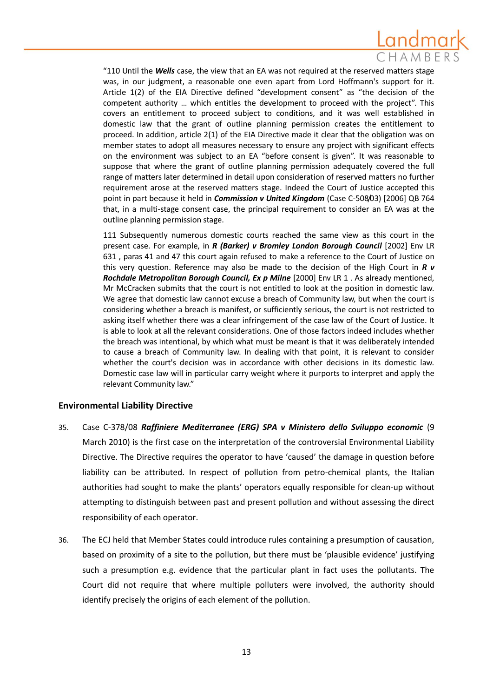

"110 Until the *Wells* case, the view that an EA was not required at the reserved matters stage was, in our judgment, a reasonable one even apart from Lord Hoffmann's support for it. Article 1(2) of the EIA Directive defined "development consent" as "the decision of the competent authority … which entitles the development to proceed with the project". This covers an entitlement to proceed subject to conditions, and it was well established in domestic law that the grant of outline planning permission creates the entitlement to proceed. In addition, article 2(1) of the EIA Directive made it clear that the obligation was on member states to adopt all measures necessary to ensure any project with significant effects on the environment was subject to an EA "before consent is given". It was reasonable to suppose that where the grant of outline planning permission adequately covered the full range of matters later determined in detail upon consideration of reserved matters no further requirement arose at the reserved matters stage. Indeed the Court of Justice accepted this point in part because it held in *Commission v United Kingdom* (Case C-508/03) [2006] QB 764 that, in a multi-stage consent case, the principal requirement to consider an EA was at the outline planning permission stage.

111 Subsequently numerous domestic courts reached the same view as this court in the present case. For example, in *R (Barker) v Bromley London Borough Council* [2002] Env LR 631 , paras 41 and 47 this court again refused to make a reference to the Court of Justice on this very question. Reference may also be made to the decision of the High Court in *R v Rochdale Metropolitan Borough Council, Ex p Milne* [2000] Env LR 1 . As already mentioned, Mr McCracken submits that the court is not entitled to look at the position in domestic law. We agree that domestic law cannot excuse a breach of Community law, but when the court is considering whether a breach is manifest, or sufficiently serious, the court is not restricted to asking itself whether there was a clear infringement of the case law of the Court of Justice. It is able to look at all the relevant considerations. One of those factors indeed includes whether the breach was intentional, by which what must be meant is that it was deliberately intended to cause a breach of Community law. In dealing with that point, it is relevant to consider whether the court's decision was in accordance with other decisions in its domestic law. Domestic case law will in particular carry weight where it purports to interpret and apply the relevant Community law."

### **Environmental Liability Directive**

- 35. Case C-378/08 *Raffiniere Mediterranee (ERG) SPA v Ministero dello Sviluppo economic* (9 March 2010) is the first case on the interpretation of the controversial Environmental Liability Directive. The Directive requires the operator to have 'caused' the damage in question before liability can be attributed. In respect of pollution from petro-chemical plants, the Italian authorities had sought to make the plants' operators equally responsible for clean-up without attempting to distinguish between past and present pollution and without assessing the direct responsibility of each operator.
- 36. The ECJ held that Member States could introduce rules containing a presumption of causation, based on proximity of a site to the pollution, but there must be 'plausible evidence' justifying such a presumption e.g. evidence that the particular plant in fact uses the pollutants. The Court did not require that where multiple polluters were involved, the authority should identify precisely the origins of each element of the pollution.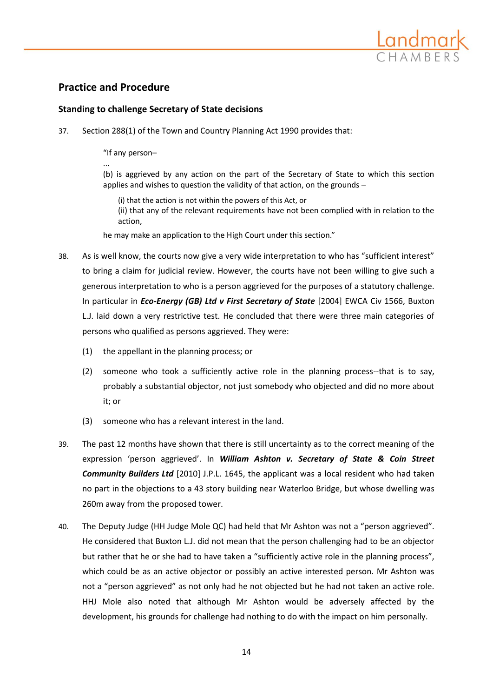

# **Practice and Procedure**

...

## **Standing to challenge Secretary of State decisions**

37. Section 288(1) of the Town and Country Planning Act 1990 provides that:

"If any person–

(b) is aggrieved by any action on the part of the Secretary of State to which this section applies and wishes to question the validity of that action, on the grounds –

(i) that the action is not within the powers of this Act, or

(ii) that any of the relevant requirements have not been complied with in relation to the action,

he may make an application to the High Court under this section."

- 38. As is well know, the courts now give a very wide interpretation to who has "sufficient interest" to bring a claim for judicial review. However, the courts have not been willing to give such a generous interpretation to who is a person aggrieved for the purposes of a statutory challenge. In particular in *Eco-Energy (GB) Ltd v First Secretary of State* [2004] EWCA Civ 1566, Buxton L.J. laid down a very restrictive test. He concluded that there were three main categories of persons who qualified as persons aggrieved. They were:
	- (1) the appellant in the planning process; or
	- (2) someone who took a sufficiently active role in the planning process--that is to say, probably a substantial objector, not just somebody who objected and did no more about it; or
	- (3) someone who has a relevant interest in the land.
- 39. The past 12 months have shown that there is still uncertainty as to the correct meaning of the expression 'person aggrieved'. In *William Ashton v. Secretary of State & Coin Street Community Builders Ltd* [2010] J.P.L. 1645, the applicant was a local resident who had taken no part in the objections to a 43 story building near Waterloo Bridge, but whose dwelling was 260m away from the proposed tower.
- 40. The Deputy Judge (HH Judge Mole QC) had held that Mr Ashton was not a "person aggrieved". He considered that Buxton L.J. did not mean that the person challenging had to be an objector but rather that he or she had to have taken a "sufficiently active role in the planning process", which could be as an active objector or possibly an active interested person. Mr Ashton was not a "person aggrieved" as not only had he not objected but he had not taken an active role. HHJ Mole also noted that although Mr Ashton would be adversely affected by the development, his grounds for challenge had nothing to do with the impact on him personally.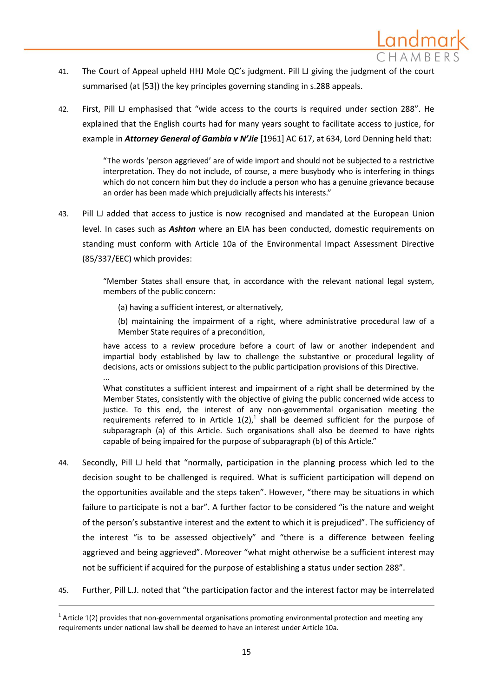

- 41. The Court of Appeal upheld HHJ Mole QC's judgment. Pill LJ giving the judgment of the court summarised (at [53]) the key principles governing standing in s.288 appeals.
- 42. First, Pill LJ emphasised that "wide access to the courts is required under section 288". He explained that the English courts had for many years sought to facilitate access to justice, for example in *Attorney General of Gambia v N'Jie* [1961] AC 617, at 634, Lord Denning held that:

"The words 'person aggrieved' are of wide import and should not be subjected to a restrictive interpretation. They do not include, of course, a mere busybody who is interfering in things which do not concern him but they do include a person who has a genuine grievance because an order has been made which prejudicially affects his interests."

43. Pill LJ added that access to justice is now recognised and mandated at the European Union level. In cases such as *Ashton* where an EIA has been conducted, domestic requirements on standing must conform with Article 10a of the Environmental Impact Assessment Directive (85/337/EEC) which provides:

> "Member States shall ensure that, in accordance with the relevant national legal system, members of the public concern:

(a) having a sufficient interest, or alternatively,

(b) maintaining the impairment of a right, where administrative procedural law of a Member State requires of a precondition,

have access to a review procedure before a court of law or another independent and impartial body established by law to challenge the substantive or procedural legality of decisions, acts or omissions subject to the public participation provisions of this Directive. ...

What constitutes a sufficient interest and impairment of a right shall be determined by the Member States, consistently with the objective of giving the public concerned wide access to justice. To this end, the interest of any non-governmental organisation meeting the requirements referred to in Article  $1(2)$ ,<sup>1</sup> shall be deemed sufficient for the purpose of subparagraph (a) of this Article. Such organisations shall also be deemed to have rights capable of being impaired for the purpose of subparagraph (b) of this Article."

- 44. Secondly, Pill LJ held that "normally, participation in the planning process which led to the decision sought to be challenged is required. What is sufficient participation will depend on the opportunities available and the steps taken". However, "there may be situations in which failure to participate is not a bar". A further factor to be considered "is the nature and weight of the person's substantive interest and the extent to which it is prejudiced". The sufficiency of the interest "is to be assessed objectively" and "there is a difference between feeling aggrieved and being aggrieved". Moreover "what might otherwise be a sufficient interest may not be sufficient if acquired for the purpose of establishing a status under section 288".
- 45. Further, Pill L.J. noted that "the participation factor and the interest factor may be interrelated

 $\overline{a}$ 

 $1$  Article 1(2) provides that non-governmental organisations promoting environmental protection and meeting any requirements under national law shall be deemed to have an interest under Article 10a.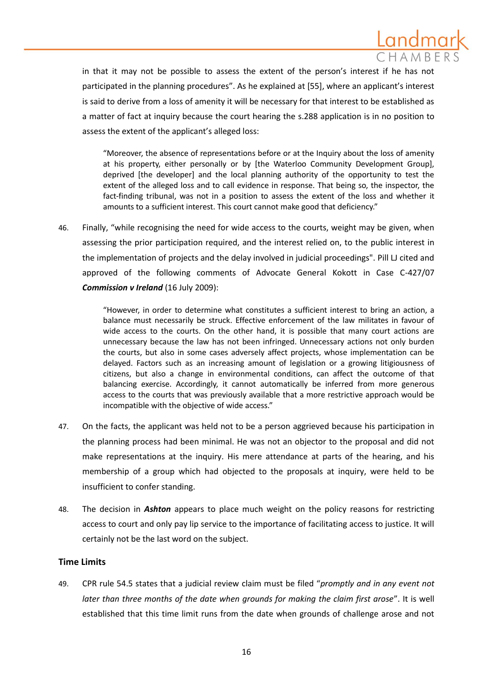

in that it may not be possible to assess the extent of the person's interest if he has not participated in the planning procedures". As he explained at [55], where an applicant's interest is said to derive from a loss of amenity it will be necessary for that interest to be established as a matter of fact at inquiry because the court hearing the s.288 application is in no position to assess the extent of the applicant's alleged loss:

"Moreover, the absence of representations before or at the Inquiry about the loss of amenity at his property, either personally or by [the Waterloo Community Development Group], deprived [the developer] and the local planning authority of the opportunity to test the extent of the alleged loss and to call evidence in response. That being so, the inspector, the fact-finding tribunal, was not in a position to assess the extent of the loss and whether it amounts to a sufficient interest. This court cannot make good that deficiency."

46. Finally, "while recognising the need for wide access to the courts, weight may be given, when assessing the prior participation required, and the interest relied on, to the public interest in the implementation of projects and the delay involved in judicial proceedings". Pill LJ cited and approved of the following comments of Advocate General Kokott in Case C-427/07 *Commission v Ireland* (16 July 2009):

> "However, in order to determine what constitutes a sufficient interest to bring an action, a balance must necessarily be struck. Effective enforcement of the law militates in favour of wide access to the courts. On the other hand, it is possible that many court actions are unnecessary because the law has not been infringed. Unnecessary actions not only burden the courts, but also in some cases adversely affect projects, whose implementation can be delayed. Factors such as an increasing amount of legislation or a growing litigiousness of citizens, but also a change in environmental conditions, can affect the outcome of that balancing exercise. Accordingly, it cannot automatically be inferred from more generous access to the courts that was previously available that a more restrictive approach would be incompatible with the objective of wide access."

- 47. On the facts, the applicant was held not to be a person aggrieved because his participation in the planning process had been minimal. He was not an objector to the proposal and did not make representations at the inquiry. His mere attendance at parts of the hearing, and his membership of a group which had objected to the proposals at inquiry, were held to be insufficient to confer standing.
- 48. The decision in *Ashton* appears to place much weight on the policy reasons for restricting access to court and only pay lip service to the importance of facilitating access to justice. It will certainly not be the last word on the subject.

### **Time Limits**

49. CPR rule 54.5 states that a judicial review claim must be filed "*promptly and in any event not later than three months of the date when grounds for making the claim first arose*". It is well established that this time limit runs from the date when grounds of challenge arose and not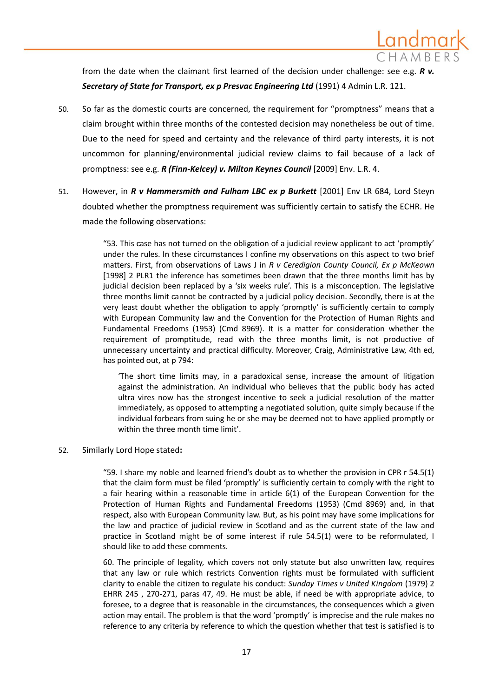

from the date when the claimant first learned of the decision under challenge: see e.g. *R v. Secretary of State for Transport, ex p Presvac Engineering Ltd* (1991) 4 Admin L.R. 121.

- 50. So far as the domestic courts are concerned, the requirement for "promptness" means that a claim brought within three months of the contested decision may nonetheless be out of time. Due to the need for speed and certainty and the relevance of third party interests, it is not uncommon for planning/environmental judicial review claims to fail because of a lack of promptness: see e.g. *R (Finn-Kelcey) v. Milton Keynes Council* [2009] Env. L.R. 4.
- 51. However, in *R v Hammersmith and Fulham LBC ex p Burkett* [2001] Env LR 684, Lord Steyn doubted whether the promptness requirement was sufficiently certain to satisfy the ECHR. He made the following observations:

"53. This case has not turned on the obligation of a judicial review applicant to act 'promptly' under the rules. In these circumstances I confine my observations on this aspect to two brief matters. First, from observations of Laws J in *R v Ceredigion County Council, Ex p McKeown* [1998] 2 PLR1 the inference has sometimes been drawn that the three months limit has by judicial decision been replaced by a 'six weeks rule'. This is a misconception. The legislative three months limit cannot be contracted by a judicial policy decision. Secondly, there is at the very least doubt whether the obligation to apply 'promptly' is sufficiently certain to comply with European Community law and the Convention for the Protection of Human Rights and Fundamental Freedoms (1953) (Cmd 8969). It is a matter for consideration whether the requirement of promptitude, read with the three months limit, is not productive of unnecessary uncertainty and practical difficulty. Moreover, Craig, Administrative Law, 4th ed, has pointed out, at p 794:

'The short time limits may, in a paradoxical sense, increase the amount of litigation against the administration. An individual who believes that the public body has acted ultra vires now has the strongest incentive to seek a judicial resolution of the matter immediately, as opposed to attempting a negotiated solution, quite simply because if the individual forbears from suing he or she may be deemed not to have applied promptly or within the three month time limit'.

#### 52. Similarly Lord Hope stated**:**

"59. I share my noble and learned friend's doubt as to whether the provision in CPR r 54.5(1) that the claim form must be filed 'promptly' is sufficiently certain to comply with the right to a fair hearing within a reasonable time in article 6(1) of the European Convention for the Protection of Human Rights and Fundamental Freedoms (1953) (Cmd 8969) and, in that respect, also with European Community law. But, as his point may have some implications for the law and practice of judicial review in Scotland and as the current state of the law and practice in Scotland might be of some interest if rule 54.5(1) were to be reformulated, I should like to add these comments.

60. The principle of legality, which covers not only statute but also unwritten law, requires that any law or rule which restricts Convention rights must be formulated with sufficient clarity to enable the citizen to regulate his conduct: *Sunday Times v United Kingdom* (1979) 2 EHRR 245 , 270-271, paras 47, 49. He must be able, if need be with appropriate advice, to foresee, to a degree that is reasonable in the circumstances, the consequences which a given action may entail. The problem is that the word 'promptly' is imprecise and the rule makes no reference to any criteria by reference to which the question whether that test is satisfied is to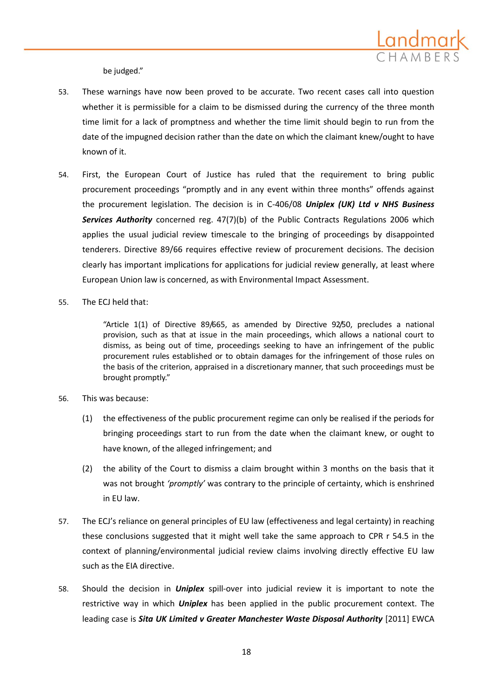

be judged."

- 53. These warnings have now been proved to be accurate. Two recent cases call into question whether it is permissible for a claim to be dismissed during the currency of the three month time limit for a lack of promptness and whether the time limit should begin to run from the date of the impugned decision rather than the date on which the claimant knew/ought to have known of it.
- 54. First, the European Court of Justice has ruled that the requirement to bring public procurement proceedings "promptly and in any event within three months" offends against the procurement legislation. The decision is in C-406/08 *Uniplex (UK) Ltd v NHS Business Services Authority* concerned reg. 47(7)(b) of the Public Contracts Regulations 2006 which applies the usual judicial review timescale to the bringing of proceedings by disappointed tenderers. Directive 89/66 requires effective review of procurement decisions. The decision clearly has important implications for applications for judicial review generally, at least where European Union law is concerned, as with Environmental Impact Assessment.
- 55. The ECJ held that:

"Article 1(1) of Directive 89/665, as amended by Directive 92/50, precludes a national provision, such as that at issue in the main proceedings, which allows a national court to dismiss, as being out of time, proceedings seeking to have an infringement of the public procurement rules established or to obtain damages for the infringement of those rules on the basis of the criterion, appraised in a discretionary manner, that such proceedings must be brought promptly."

- 56. This was because:
	- (1) the effectiveness of the public procurement regime can only be realised if the periods for bringing proceedings start to run from the date when the claimant knew, or ought to have known, of the alleged infringement; and
	- (2) the ability of the Court to dismiss a claim brought within 3 months on the basis that it was not brought *'promptly'* was contrary to the principle of certainty, which is enshrined in EU law.
- 57. The ECJ's reliance on general principles of EU law (effectiveness and legal certainty) in reaching these conclusions suggested that it might well take the same approach to CPR r 54.5 in the context of planning/environmental judicial review claims involving directly effective EU law such as the EIA directive.
- 58. Should the decision in *Uniplex* spill-over into judicial review it is important to note the restrictive way in which *Uniplex* has been applied in the public procurement context. The leading case is *Sita UK Limited v Greater Manchester Waste Disposal Authority* [2011] EWCA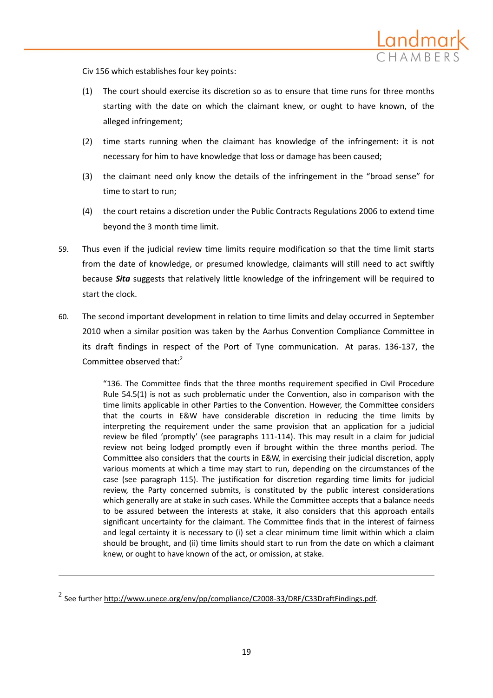

Civ 156 which establishes four key points:

- (1) The court should exercise its discretion so as to ensure that time runs for three months starting with the date on which the claimant knew, or ought to have known, of the alleged infringement;
- (2) time starts running when the claimant has knowledge of the infringement: it is not necessary for him to have knowledge that loss or damage has been caused;
- (3) the claimant need only know the details of the infringement in the "broad sense" for time to start to run;
- (4) the court retains a discretion under the Public Contracts Regulations 2006 to extend time beyond the 3 month time limit.
- 59. Thus even if the judicial review time limits require modification so that the time limit starts from the date of knowledge, or presumed knowledge, claimants will still need to act swiftly because *Sita* suggests that relatively little knowledge of the infringement will be required to start the clock.
- 60. The second important development in relation to time limits and delay occurred in September 2010 when a similar position was taken by the Aarhus Convention Compliance Committee in its draft findings in respect of the Port of Tyne communication. At paras. 136-137, the Committee observed that:<sup>2</sup>

"136. The Committee finds that the three months requirement specified in Civil Procedure Rule 54.5(1) is not as such problematic under the Convention, also in comparison with the time limits applicable in other Parties to the Convention. However, the Committee considers that the courts in E&W have considerable discretion in reducing the time limits by interpreting the requirement under the same provision that an application for a judicial review be filed 'promptly' (see paragraphs 111-114). This may result in a claim for judicial review not being lodged promptly even if brought within the three months period. The Committee also considers that the courts in E&W, in exercising their judicial discretion, apply various moments at which a time may start to run, depending on the circumstances of the case (see paragraph 115). The justification for discretion regarding time limits for judicial review, the Party concerned submits, is constituted by the public interest considerations which generally are at stake in such cases. While the Committee accepts that a balance needs to be assured between the interests at stake, it also considers that this approach entails significant uncertainty for the claimant. The Committee finds that in the interest of fairness and legal certainty it is necessary to (i) set a clear minimum time limit within which a claim should be brought, and (ii) time limits should start to run from the date on which a claimant knew, or ought to have known of the act, or omission, at stake.

 $\overline{a}$ 

 $^{2}$  See furthe[r http://www.unece.org/env/pp/compliance/C2008-33/DRF/C33DraftFindings.pdf.](http://www.unece.org/env/pp/compliance/C2008-33/DRF/C33DraftFindings.pdf)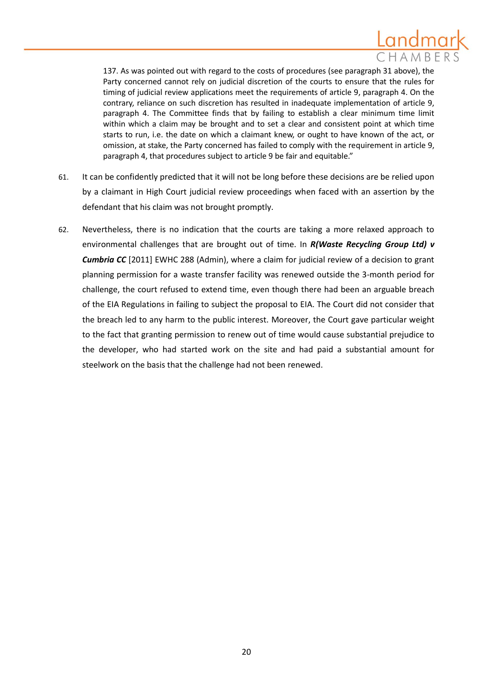

137. As was pointed out with regard to the costs of procedures (see paragraph 31 above), the Party concerned cannot rely on judicial discretion of the courts to ensure that the rules for timing of judicial review applications meet the requirements of article 9, paragraph 4. On the contrary, reliance on such discretion has resulted in inadequate implementation of article 9, paragraph 4. The Committee finds that by failing to establish a clear minimum time limit within which a claim may be brought and to set a clear and consistent point at which time starts to run, i.e. the date on which a claimant knew, or ought to have known of the act, or omission, at stake, the Party concerned has failed to comply with the requirement in article 9, paragraph 4, that procedures subject to article 9 be fair and equitable."

- 61. It can be confidently predicted that it will not be long before these decisions are be relied upon by a claimant in High Court judicial review proceedings when faced with an assertion by the defendant that his claim was not brought promptly.
- 62. Nevertheless, there is no indication that the courts are taking a more relaxed approach to environmental challenges that are brought out of time. In *R(Waste Recycling Group Ltd) v Cumbria CC* [2011] EWHC 288 (Admin), where a claim for judicial review of a decision to grant planning permission for a waste transfer facility was renewed outside the 3-month period for challenge, the court refused to extend time, even though there had been an arguable breach of the EIA Regulations in failing to subject the proposal to EIA. The Court did not consider that the breach led to any harm to the public interest. Moreover, the Court gave particular weight to the fact that granting permission to renew out of time would cause substantial prejudice to the developer, who had started work on the site and had paid a substantial amount for steelwork on the basis that the challenge had not been renewed.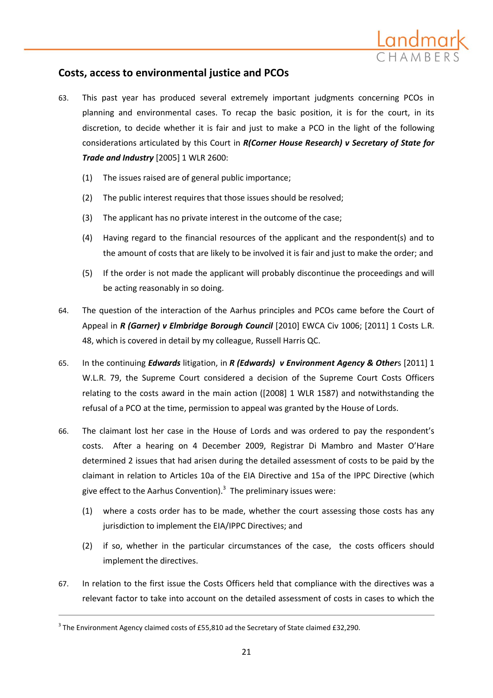

# **Costs, access to environmental justice and PCOs**

- 63. This past year has produced several extremely important judgments concerning PCOs in planning and environmental cases. To recap the basic position, it is for the court, in its discretion, to decide whether it is fair and just to make a PCO in the light of the following considerations articulated by this Court in *R(Corner House Research) v Secretary of State for Trade and Industry* [2005] 1 WLR 2600:
	- (1) The issues raised are of general public importance;
	- (2) The public interest requires that those issues should be resolved;
	- (3) The applicant has no private interest in the outcome of the case;
	- (4) Having regard to the financial resources of the applicant and the respondent(s) and to the amount of costs that are likely to be involved it is fair and just to make the order; and
	- (5) If the order is not made the applicant will probably discontinue the proceedings and will be acting reasonably in so doing.
- 64. The question of the interaction of the Aarhus principles and PCOs came before the Court of Appeal in *R (Garner) v Elmbridge Borough Council* [2010] EWCA Civ 1006; [2011] 1 Costs L.R. 48, which is covered in detail by my colleague, Russell Harris QC.
- 65. In the continuing *Edwards* litigation, in *R (Edwards) v Environment Agency & Other*s [2011] 1 W.L.R. 79, the Supreme Court considered a decision of the Supreme Court Costs Officers relating to the costs award in the main action ([2008] 1 WLR 1587) and notwithstanding the refusal of a PCO at the time, permission to appeal was granted by the House of Lords.
- 66. The claimant lost her case in the House of Lords and was ordered to pay the respondent's costs. After a hearing on 4 December 2009, Registrar Di Mambro and Master O'Hare determined 2 issues that had arisen during the detailed assessment of costs to be paid by the claimant in relation to Articles 10a of the EIA Directive and 15a of the IPPC Directive (which give effect to the Aarhus Convention).<sup>3</sup> The preliminary issues were:
	- (1) where a costs order has to be made, whether the court assessing those costs has any jurisdiction to implement the EIA/IPPC Directives; and
	- (2) if so, whether in the particular circumstances of the case, the costs officers should implement the directives.
- 67. In relation to the first issue the Costs Officers held that compliance with the directives was a relevant factor to take into account on the detailed assessment of costs in cases to which the

 $\overline{a}$ 

 $^3$  The Environment Agency claimed costs of £55,810 ad the Secretary of State claimed £32,290.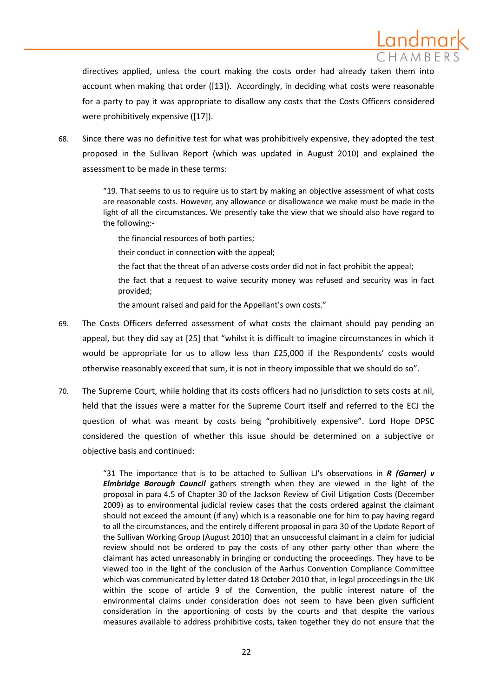

directives applied, unless the court making the costs order had already taken them into account when making that order ([13]). Accordingly, in deciding what costs were reasonable for a party to pay it was appropriate to disallow any costs that the Costs Officers considered were prohibitively expensive ([17]).

68. Since there was no definitive test for what was prohibitively expensive, they adopted the test proposed in the Sullivan Report (which was updated in August 2010) and explained the assessment to be made in these terms:

> "19. That seems to us to require us to start by making an objective assessment of what costs are reasonable costs. However, any allowance or disallowance we make must be made in the light of all the circumstances. We presently take the view that we should also have regard to the following:-

the financial resources of both parties;

their conduct in connection with the appeal;

the fact that the threat of an adverse costs order did not in fact prohibit the appeal;

the fact that a request to waive security money was refused and security was in fact provided;

the amount raised and paid for the Appellant's own costs."

- 69. The Costs Officers deferred assessment of what costs the claimant should pay pending an appeal, but they did say at [25] that "whilst it is difficult to imagine circumstances in which it would be appropriate for us to allow less than £25,000 if the Respondents' costs would otherwise reasonably exceed that sum, it is not in theory impossible that we should do so".
- 70. The Supreme Court, while holding that its costs officers had no jurisdiction to sets costs at nil, held that the issues were a matter for the Supreme Court itself and referred to the ECJ the question of what was meant by costs being "prohibitively expensive". Lord Hope DPSC considered the question of whether this issue should be determined on a subjective or objective basis and continued:

"31 The importance that is to be attached to Sullivan LJ's observations in *R (Garner) v Elmbridge Borough Council* gathers strength when they are viewed in the light of the proposal in para 4.5 of Chapter 30 of the Jackson Review of Civil Litigation Costs (December 2009) as to environmental judicial review cases that the costs ordered against the claimant should not exceed the amount (if any) which is a reasonable one for him to pay having regard to all the circumstances, and the entirely different proposal in para 30 of the Update Report of the Sullivan Working Group (August 2010) that an unsuccessful claimant in a claim for judicial review should not be ordered to pay the costs of any other party other than where the claimant has acted unreasonably in bringing or conducting the proceedings. They have to be viewed too in the light of the conclusion of the Aarhus Convention Compliance Committee which was communicated by letter dated 18 October 2010 that, in legal proceedings in the UK within the scope of article 9 of the Convention, the public interest nature of the environmental claims under consideration does not seem to have been given sufficient consideration in the apportioning of costs by the courts and that despite the various measures available to address prohibitive costs, taken together they do not ensure that the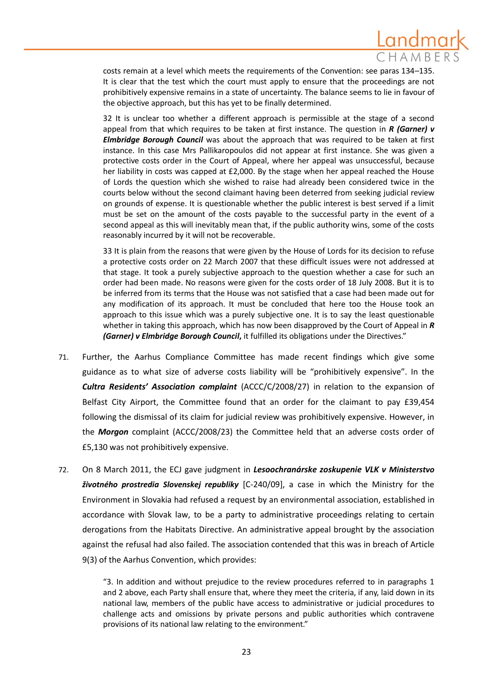

costs remain at a level which meets the requirements of the Convention: see paras 134–135. It is clear that the test which the court must apply to ensure that the proceedings are not prohibitively expensive remains in a state of uncertainty. The balance seems to lie in favour of the objective approach, but this has yet to be finally determined.

32 It is unclear too whether a different approach is permissible at the stage of a second appeal from that which requires to be taken at first instance. The question in *R (Garner) v Elmbridge Borough Council* was about the approach that was required to be taken at first instance. In this case Mrs Pallikaropoulos did not appear at first instance. She was given a protective costs order in the Court of Appeal, where her appeal was unsuccessful, because her liability in costs was capped at £2,000. By the stage when her appeal reached the House of Lords the question which she wished to raise had already been considered twice in the courts below without the second claimant having been deterred from seeking judicial review on grounds of expense. It is questionable whether the public interest is best served if a limit must be set on the amount of the costs payable to the successful party in the event of a second appeal as this will inevitably mean that, if the public authority wins, some of the costs reasonably incurred by it will not be recoverable.

33 It is plain from the reasons that were given by the House of Lords for its decision to refuse a protective costs order on 22 March 2007 that these difficult issues were not addressed at that stage. It took a purely subjective approach to the question whether a case for such an order had been made. No reasons were given for the costs order of 18 July 2008. But it is to be inferred from its terms that the House was not satisfied that a case had been made out for any modification of its approach. It must be concluded that here too the House took an approach to this issue which was a purely subjective one. It is to say the least questionable whether in taking this approach, which has now been disapproved by the Court of Appeal in *R (Garner) v Elmbridge Borough Council***,** it fulfilled its obligations under the Directives."

- 71. Further, the Aarhus Compliance Committee has made recent findings which give some guidance as to what size of adverse costs liability will be "prohibitively expensive". In the *Cultra Residents' Association complaint* (ACCC/C/2008/27) in relation to the expansion of Belfast City Airport, the Committee found that an order for the claimant to pay £39,454 following the dismissal of its claim for judicial review was prohibitively expensive. However, in the *Morgon* complaint (ACCC/2008/23) the Committee held that an adverse costs order of £5,130 was not prohibitively expensive.
- 72. On 8 March 2011, the ECJ gave judgment in *Lesoochranárske zoskupenie VLK v Ministerstvo životného prostredia Slovenskej republiky* [C-240/09], a case in which the Ministry for the Environment in Slovakia had refused a request by an environmental association, established in accordance with Slovak law, to be a party to administrative proceedings relating to certain derogations from the Habitats Directive. An administrative appeal brought by the association against the refusal had also failed. The association contended that this was in breach of Article 9(3) of the Aarhus Convention, which provides:

"3. In addition and without prejudice to the review procedures referred to in paragraphs 1 and 2 above, each Party shall ensure that, where they meet the criteria, if any, laid down in its national law, members of the public have access to administrative or judicial procedures to challenge acts and omissions by private persons and public authorities which contravene provisions of its national law relating to the environment."